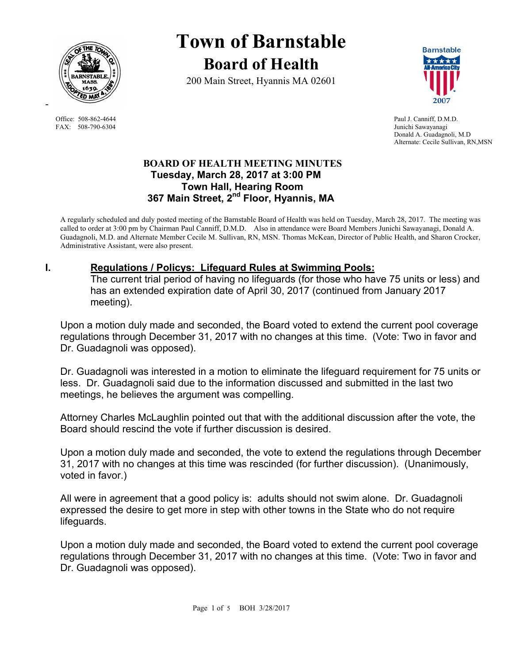

FAX: 508-790-6304 Junichi Sawayanagi

-

# **Town of Barnstable Board of Health**

200 Main Street, Hyannis MA 02601



Office: 508-862-4644 Paul J. Canniff, D.M.D. Donald A. Guadagnoli, M.D Alternate: Cecile Sullivan, RN,MSN

#### **BOARD OF HEALTH MEETING MINUTES Tuesday, March 28, 2017 at 3:00 PM Town Hall, Hearing Room 367 Main Street, 2nd Floor, Hyannis, MA**

A regularly scheduled and duly posted meeting of the Barnstable Board of Health was held on Tuesday, March 28, 2017. The meeting was called to order at 3:00 pm by Chairman Paul Canniff, D.M.D. Also in attendance were Board Members Junichi Sawayanagi, Donald A. Guadagnoli, M.D. and Alternate Member Cecile M. Sullivan, RN, MSN. Thomas McKean, Director of Public Health, and Sharon Crocker, Administrative Assistant, were also present.

# **I. Regulations / Policys: Lifeguard Rules at Swimming Pools:**

The current trial period of having no lifeguards (for those who have 75 units or less) and has an extended expiration date of April 30, 2017 (continued from January 2017 meeting).

Upon a motion duly made and seconded, the Board voted to extend the current pool coverage regulations through December 31, 2017 with no changes at this time. (Vote: Two in favor and Dr. Guadagnoli was opposed).

Dr. Guadagnoli was interested in a motion to eliminate the lifeguard requirement for 75 units or less. Dr. Guadagnoli said due to the information discussed and submitted in the last two meetings, he believes the argument was compelling.

Attorney Charles McLaughlin pointed out that with the additional discussion after the vote, the Board should rescind the vote if further discussion is desired.

Upon a motion duly made and seconded, the vote to extend the regulations through December 31, 2017 with no changes at this time was rescinded (for further discussion). (Unanimously, voted in favor.)

All were in agreement that a good policy is: adults should not swim alone. Dr. Guadagnoli expressed the desire to get more in step with other towns in the State who do not require lifeguards.

Upon a motion duly made and seconded, the Board voted to extend the current pool coverage regulations through December 31, 2017 with no changes at this time. (Vote: Two in favor and Dr. Guadagnoli was opposed).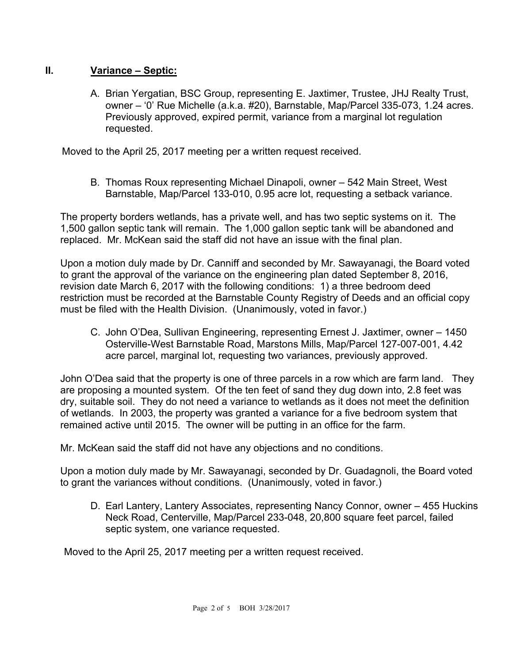# **II. Variance – Septic:**

 A. Brian Yergatian, BSC Group, representing E. Jaxtimer, Trustee, JHJ Realty Trust, owner – '0' Rue Michelle (a.k.a. #20), Barnstable, Map/Parcel 335-073, 1.24 acres. Previously approved, expired permit, variance from a marginal lot regulation requested.

Moved to the April 25, 2017 meeting per a written request received.

B. Thomas Roux representing Michael Dinapoli, owner – 542 Main Street, West Barnstable, Map/Parcel 133-010, 0.95 acre lot, requesting a setback variance.

The property borders wetlands, has a private well, and has two septic systems on it. The 1,500 gallon septic tank will remain. The 1,000 gallon septic tank will be abandoned and replaced. Mr. McKean said the staff did not have an issue with the final plan.

Upon a motion duly made by Dr. Canniff and seconded by Mr. Sawayanagi, the Board voted to grant the approval of the variance on the engineering plan dated September 8, 2016, revision date March 6, 2017 with the following conditions: 1) a three bedroom deed restriction must be recorded at the Barnstable County Registry of Deeds and an official copy must be filed with the Health Division. (Unanimously, voted in favor.)

C. John O'Dea, Sullivan Engineering, representing Ernest J. Jaxtimer, owner – 1450 Osterville-West Barnstable Road, Marstons Mills, Map/Parcel 127-007-001, 4.42 acre parcel, marginal lot, requesting two variances, previously approved.

John O'Dea said that the property is one of three parcels in a row which are farm land. They are proposing a mounted system. Of the ten feet of sand they dug down into, 2.8 feet was dry, suitable soil. They do not need a variance to wetlands as it does not meet the definition of wetlands. In 2003, the property was granted a variance for a five bedroom system that remained active until 2015. The owner will be putting in an office for the farm.

Mr. McKean said the staff did not have any objections and no conditions.

Upon a motion duly made by Mr. Sawayanagi, seconded by Dr. Guadagnoli, the Board voted to grant the variances without conditions. (Unanimously, voted in favor.)

D. Earl Lantery, Lantery Associates, representing Nancy Connor, owner – 455 Huckins Neck Road, Centerville, Map/Parcel 233-048, 20,800 square feet parcel, failed septic system, one variance requested.

Moved to the April 25, 2017 meeting per a written request received.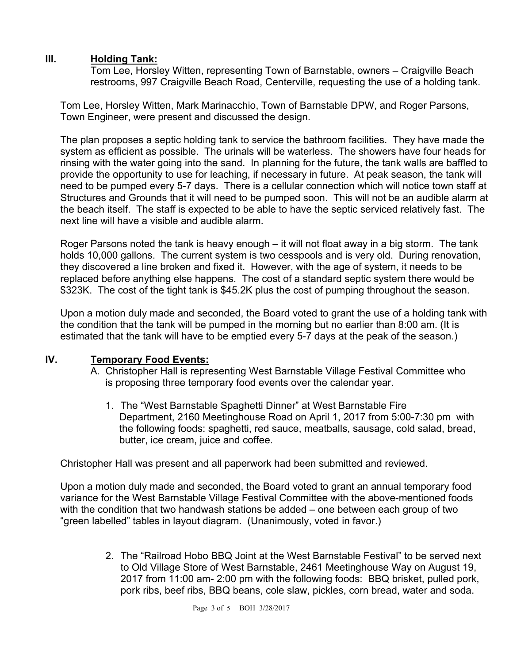### **III. Holding Tank:**

Tom Lee, Horsley Witten, representing Town of Barnstable, owners – Craigville Beach restrooms, 997 Craigville Beach Road, Centerville, requesting the use of a holding tank.

Tom Lee, Horsley Witten, Mark Marinacchio, Town of Barnstable DPW, and Roger Parsons, Town Engineer, were present and discussed the design.

The plan proposes a septic holding tank to service the bathroom facilities. They have made the system as efficient as possible. The urinals will be waterless. The showers have four heads for rinsing with the water going into the sand. In planning for the future, the tank walls are baffled to provide the opportunity to use for leaching, if necessary in future. At peak season, the tank will need to be pumped every 5-7 days. There is a cellular connection which will notice town staff at Structures and Grounds that it will need to be pumped soon. This will not be an audible alarm at the beach itself. The staff is expected to be able to have the septic serviced relatively fast. The next line will have a visible and audible alarm.

Roger Parsons noted the tank is heavy enough – it will not float away in a big storm. The tank holds 10,000 gallons. The current system is two cesspools and is very old. During renovation, they discovered a line broken and fixed it. However, with the age of system, it needs to be replaced before anything else happens. The cost of a standard septic system there would be \$323K. The cost of the tight tank is \$45.2K plus the cost of pumping throughout the season.

Upon a motion duly made and seconded, the Board voted to grant the use of a holding tank with the condition that the tank will be pumped in the morning but no earlier than 8:00 am. (It is estimated that the tank will have to be emptied every 5-7 days at the peak of the season.)

#### **IV. Temporary Food Events:**

- A. Christopher Hall is representing West Barnstable Village Festival Committee who is proposing three temporary food events over the calendar year.
	- 1. The "West Barnstable Spaghetti Dinner" at West Barnstable Fire Department, 2160 Meetinghouse Road on April 1, 2017 from 5:00-7:30 pm with the following foods: spaghetti, red sauce, meatballs, sausage, cold salad, bread, butter, ice cream, juice and coffee.

Christopher Hall was present and all paperwork had been submitted and reviewed.

Upon a motion duly made and seconded, the Board voted to grant an annual temporary food variance for the West Barnstable Village Festival Committee with the above-mentioned foods with the condition that two handwash stations be added – one between each group of two "green labelled" tables in layout diagram. (Unanimously, voted in favor.)

> 2. The "Railroad Hobo BBQ Joint at the West Barnstable Festival" to be served next to Old Village Store of West Barnstable, 2461 Meetinghouse Way on August 19, 2017 from 11:00 am- 2:00 pm with the following foods: BBQ brisket, pulled pork, pork ribs, beef ribs, BBQ beans, cole slaw, pickles, corn bread, water and soda.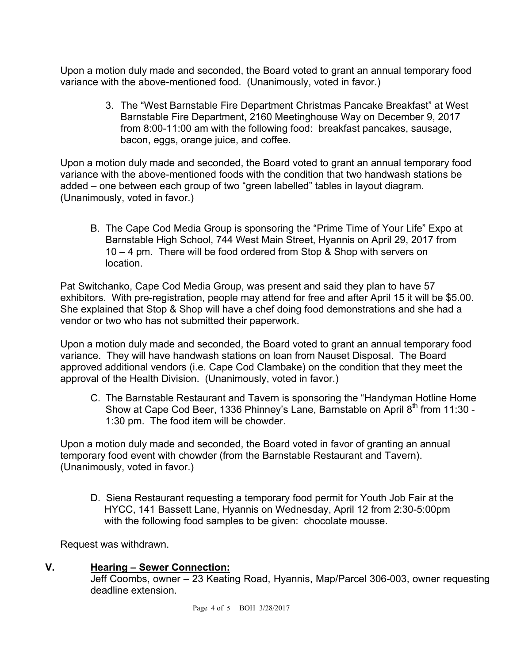Upon a motion duly made and seconded, the Board voted to grant an annual temporary food variance with the above-mentioned food. (Unanimously, voted in favor.)

> 3. The "West Barnstable Fire Department Christmas Pancake Breakfast" at West Barnstable Fire Department, 2160 Meetinghouse Way on December 9, 2017 from 8:00-11:00 am with the following food: breakfast pancakes, sausage, bacon, eggs, orange juice, and coffee.

Upon a motion duly made and seconded, the Board voted to grant an annual temporary food variance with the above-mentioned foods with the condition that two handwash stations be added – one between each group of two "green labelled" tables in layout diagram. (Unanimously, voted in favor.)

B. The Cape Cod Media Group is sponsoring the "Prime Time of Your Life" Expo at Barnstable High School, 744 West Main Street, Hyannis on April 29, 2017 from 10 – 4 pm. There will be food ordered from Stop & Shop with servers on location.

Pat Switchanko, Cape Cod Media Group, was present and said they plan to have 57 exhibitors. With pre-registration, people may attend for free and after April 15 it will be \$5.00. She explained that Stop & Shop will have a chef doing food demonstrations and she had a vendor or two who has not submitted their paperwork.

Upon a motion duly made and seconded, the Board voted to grant an annual temporary food variance. They will have handwash stations on loan from Nauset Disposal. The Board approved additional vendors (i.e. Cape Cod Clambake) on the condition that they meet the approval of the Health Division. (Unanimously, voted in favor.)

C. The Barnstable Restaurant and Tavern is sponsoring the "Handyman Hotline Home Show at Cape Cod Beer, 1336 Phinney's Lane, Barnstable on April 8<sup>th</sup> from 11:30 -1:30 pm. The food item will be chowder.

Upon a motion duly made and seconded, the Board voted in favor of granting an annual temporary food event with chowder (from the Barnstable Restaurant and Tavern). (Unanimously, voted in favor.)

D. Siena Restaurant requesting a temporary food permit for Youth Job Fair at the HYCC, 141 Bassett Lane, Hyannis on Wednesday, April 12 from 2:30-5:00pm with the following food samples to be given: chocolate mousse.

Request was withdrawn.

#### **V. Hearing – Sewer Connection:**

Jeff Coombs, owner – 23 Keating Road, Hyannis, Map/Parcel 306-003, owner requesting deadline extension.